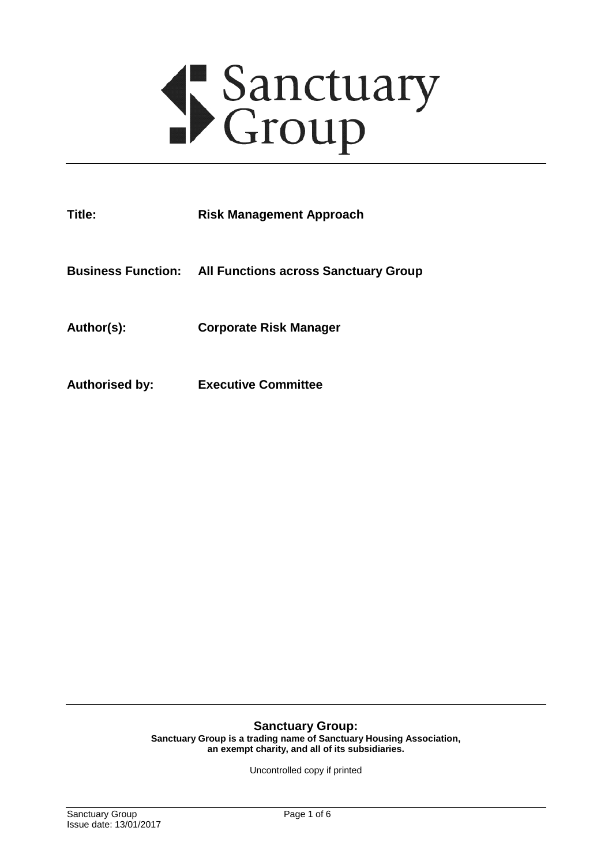# Sanctuary<br>Group

| Title:                | <b>Risk Management Approach</b>                                |
|-----------------------|----------------------------------------------------------------|
|                       | <b>Business Function: All Functions across Sanctuary Group</b> |
| Author(s):            | <b>Corporate Risk Manager</b>                                  |
| <b>Authorised by:</b> | <b>Executive Committee</b>                                     |

#### **Sanctuary Group:**

**Sanctuary Group is a trading name of Sanctuary Housing Association, an exempt charity, and all of its subsidiaries.**

Uncontrolled copy if printed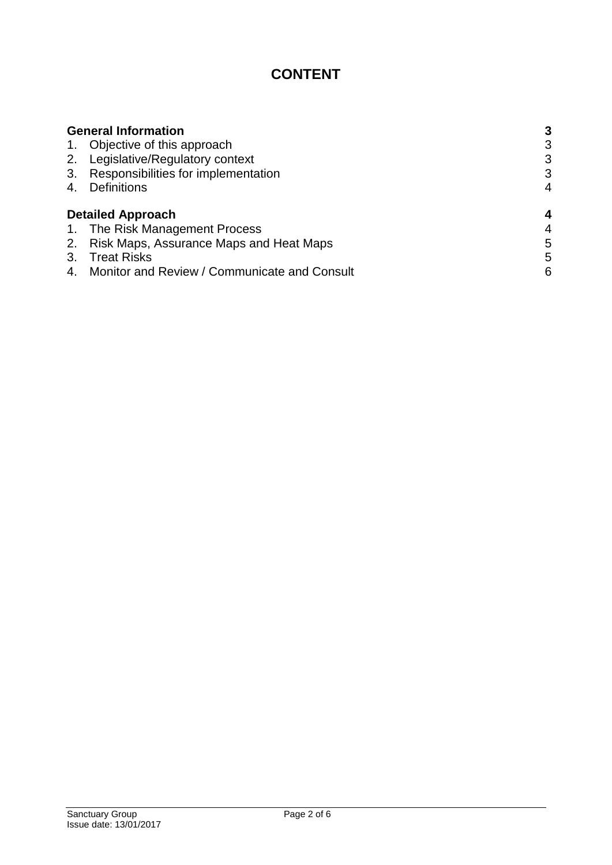# **CONTENT**

|                | <b>General Information</b>                   | 3 |
|----------------|----------------------------------------------|---|
|                | 1. Objective of this approach                | 3 |
|                | 2. Legislative/Regulatory context            | 3 |
| 3.             | Responsibilities for implementation          | 3 |
| 4.             | <b>Definitions</b>                           | 4 |
|                | <b>Detailed Approach</b>                     | 4 |
|                | 1. The Risk Management Process               | 4 |
|                | 2. Risk Maps, Assurance Maps and Heat Maps   | 5 |
| 3.             | <b>Treat Risks</b>                           | 5 |
| 4 <sup>1</sup> | Monitor and Review / Communicate and Consult | 6 |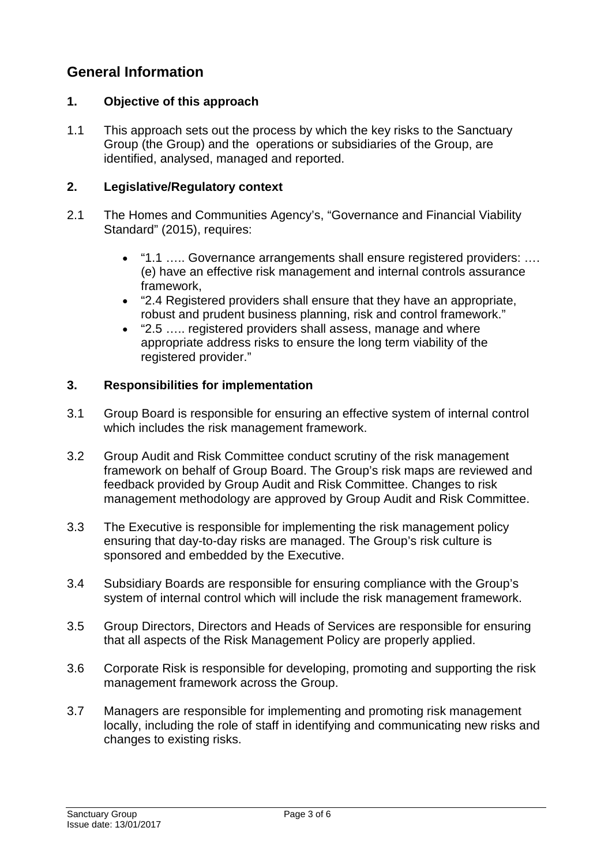# <span id="page-2-0"></span>**General Information**

# <span id="page-2-1"></span>**1. Objective of this approach**

1.1 This approach sets out the process by which the key risks to the Sanctuary Group (the Group) and the operations or subsidiaries of the Group, are identified, analysed, managed and reported.

# <span id="page-2-2"></span>**2. Legislative/Regulatory context**

- 2.1 The Homes and Communities Agency's, "Governance and Financial Viability Standard" (2015), requires:
	- "1.1 ….. Governance arrangements shall ensure registered providers: …. (e) have an effective risk management and internal controls assurance framework,
	- "2.4 Registered providers shall ensure that they have an appropriate, robust and prudent business planning, risk and control framework."
	- "2.5 ….. registered providers shall assess, manage and where appropriate address risks to ensure the long term viability of the registered provider."

# <span id="page-2-3"></span>**3. Responsibilities for implementation**

- 3.1 Group Board is responsible for ensuring an effective system of internal control which includes the risk management framework.
- 3.2 Group Audit and Risk Committee conduct scrutiny of the risk management framework on behalf of Group Board. The Group's risk maps are reviewed and feedback provided by Group Audit and Risk Committee. Changes to risk management methodology are approved by Group Audit and Risk Committee.
- 3.3 The Executive is responsible for implementing the risk management policy ensuring that day-to-day risks are managed. The Group's risk culture is sponsored and embedded by the Executive.
- 3.4 Subsidiary Boards are responsible for ensuring compliance with the Group's system of internal control which will include the risk management framework.
- 3.5 Group Directors, Directors and Heads of Services are responsible for ensuring that all aspects of the Risk Management Policy are properly applied.
- 3.6 Corporate Risk is responsible for developing, promoting and supporting the risk management framework across the Group.
- 3.7 Managers are responsible for implementing and promoting risk management locally, including the role of staff in identifying and communicating new risks and changes to existing risks.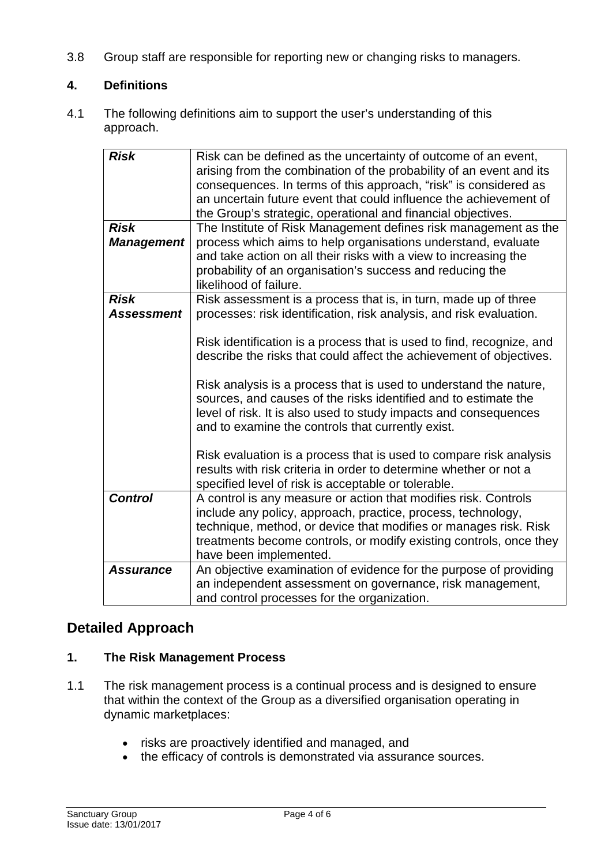3.8 Group staff are responsible for reporting new or changing risks to managers.

# <span id="page-3-0"></span>**4. Definitions**

4.1 The following definitions aim to support the user's understanding of this approach.

| <b>Risk</b><br><b>Risk</b><br><b>Management</b> | Risk can be defined as the uncertainty of outcome of an event,<br>arising from the combination of the probability of an event and its<br>consequences. In terms of this approach, "risk" is considered as<br>an uncertain future event that could influence the achievement of<br>the Group's strategic, operational and financial objectives.<br>The Institute of Risk Management defines risk management as the<br>process which aims to help organisations understand, evaluate<br>and take action on all their risks with a view to increasing the<br>probability of an organisation's success and reducing the<br>likelihood of failure. |
|-------------------------------------------------|-----------------------------------------------------------------------------------------------------------------------------------------------------------------------------------------------------------------------------------------------------------------------------------------------------------------------------------------------------------------------------------------------------------------------------------------------------------------------------------------------------------------------------------------------------------------------------------------------------------------------------------------------|
| <b>Risk</b><br><b>Assessment</b>                | Risk assessment is a process that is, in turn, made up of three<br>processes: risk identification, risk analysis, and risk evaluation.<br>Risk identification is a process that is used to find, recognize, and<br>describe the risks that could affect the achievement of objectives.<br>Risk analysis is a process that is used to understand the nature,<br>sources, and causes of the risks identified and to estimate the<br>level of risk. It is also used to study impacts and consequences<br>and to examine the controls that currently exist.                                                                                       |
| <b>Control</b>                                  | Risk evaluation is a process that is used to compare risk analysis<br>results with risk criteria in order to determine whether or not a<br>specified level of risk is acceptable or tolerable.<br>A control is any measure or action that modifies risk. Controls                                                                                                                                                                                                                                                                                                                                                                             |
|                                                 | include any policy, approach, practice, process, technology,<br>technique, method, or device that modifies or manages risk. Risk<br>treatments become controls, or modify existing controls, once they<br>have been implemented.                                                                                                                                                                                                                                                                                                                                                                                                              |
| <b>Assurance</b>                                | An objective examination of evidence for the purpose of providing<br>an independent assessment on governance, risk management,<br>and control processes for the organization.                                                                                                                                                                                                                                                                                                                                                                                                                                                                 |

# <span id="page-3-1"></span>**Detailed Approach**

# <span id="page-3-2"></span>**1. The Risk Management Process**

- 1.1 The risk management process is a continual process and is designed to ensure that within the context of the Group as a diversified organisation operating in dynamic marketplaces:
	- risks are proactively identified and managed, and
	- the efficacy of controls is demonstrated via assurance sources.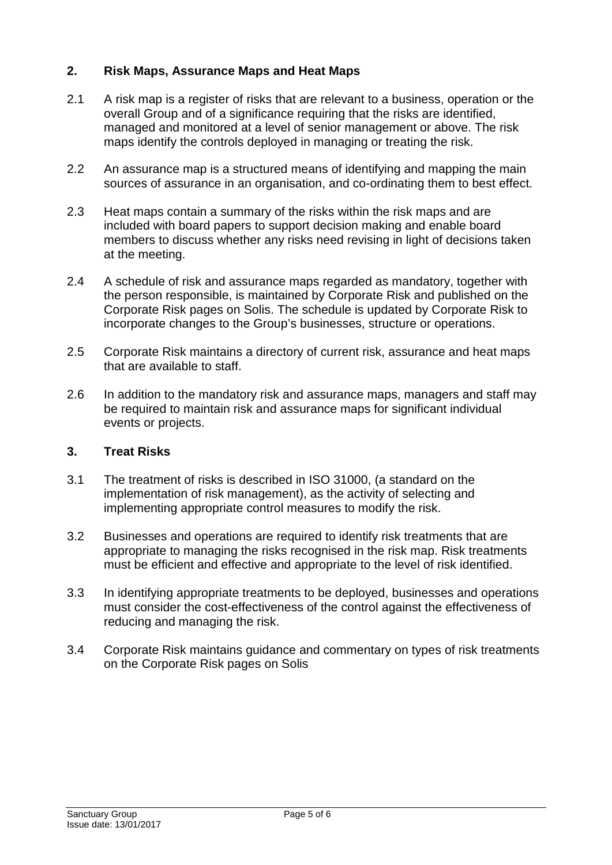# <span id="page-4-0"></span>**2. Risk Maps, Assurance Maps and Heat Maps**

- 2.1 A risk map is a register of risks that are relevant to a business, operation or the overall Group and of a significance requiring that the risks are identified, managed and monitored at a level of senior management or above. The risk maps identify the controls deployed in managing or treating the risk.
- 2.2 An assurance map is a structured means of identifying and mapping the main sources of assurance in an organisation, and co-ordinating them to best effect.
- 2.3 Heat maps contain a summary of the risks within the risk maps and are included with board papers to support decision making and enable board members to discuss whether any risks need revising in light of decisions taken at the meeting.
- 2.4 A schedule of risk and assurance maps regarded as mandatory, together with the person responsible, is maintained by Corporate Risk and published on the Corporate Risk pages on Solis. The schedule is updated by Corporate Risk to incorporate changes to the Group's businesses, structure or operations.
- 2.5 Corporate Risk maintains a directory of current risk, assurance and heat maps that are available to staff.
- 2.6 In addition to the mandatory risk and assurance maps, managers and staff may be required to maintain risk and assurance maps for significant individual events or projects.

# <span id="page-4-1"></span>**3. Treat Risks**

- 3.1 The treatment of risks is described in ISO 31000, (a standard on the implementation of risk management), as the activity of selecting and implementing appropriate control measures to modify the risk.
- 3.2 Businesses and operations are required to identify risk treatments that are appropriate to managing the risks recognised in the risk map. Risk treatments must be efficient and effective and appropriate to the level of risk identified.
- 3.3 In identifying appropriate treatments to be deployed, businesses and operations must consider the cost-effectiveness of the control against the effectiveness of reducing and managing the risk.
- 3.4 Corporate Risk maintains guidance and commentary on types of risk treatments on the Corporate Risk pages on Solis